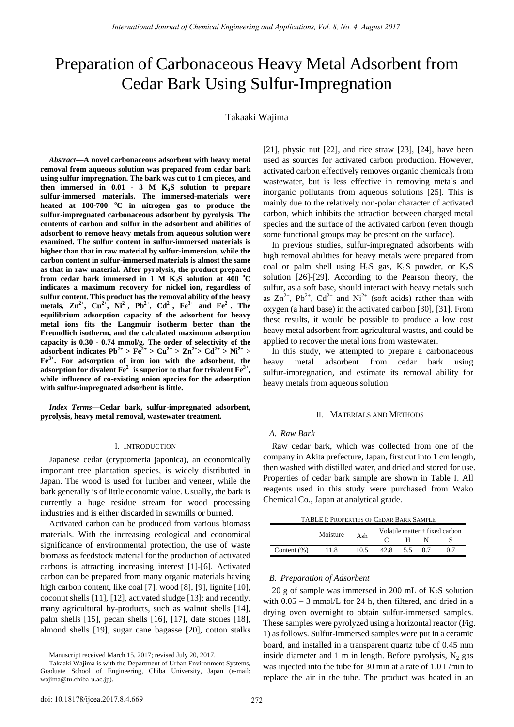# Preparation of Carbonaceous Heavy Metal Adsorbent from Cedar Bark Using Sulfur-Impregnation

## Takaaki Wajima

*Abstract***—A novel carbonaceous adsorbent with heavy metal removal from aqueous solution was prepared from cedar bark using sulfur impregnation. The bark was cut to 1 cm pieces, and**  then immersed in  $0.01 - 3$  M K<sub>2</sub>S solution to prepare **sulfur-immersed materials. The immersed-materials were heated at 100-700 <sup>o</sup> C in nitrogen gas to produce the sulfur-impregnated carbonaceous adsorbent by pyrolysis. The contents of carbon and sulfur in the adsorbent and abilities of adsorbent to remove heavy metals from aqueous solution were examined. The sulfur content in sulfur-immersed materials is higher than that in raw material by sulfur-immersion, while the carbon content in sulfur-immersed materials is almost the same as that in raw material. After pyrolysis, the product prepared**  from cedar bark immersed in 1 M K<sub>2</sub>S solution at 400 °C **indicates a maximum recovery for nickel ion, regardless of sulfur content. This product has the removal ability of the heavy**  metals,  $\text{Zn}^{2+}$ ,  $\text{Cu}^{2+}$ ,  $\text{Ni}^{2+}$ ,  $\text{Pb}^{2+}$ ,  $\text{Cd}^{2+}$ ,  $\text{Fe}^{3+}$  and  $\text{Fe}^{2+}$ . The **equilibrium adsorption capacity of the adsorbent for heavy metal ions fits the Langmuir isotherm better than the Freundlich isotherm, and the calculated maximum adsorption capacity is 0.30 - 0.74 mmol/g. The order of selectivity of the adsorbent indicates Pb<sup>2+</sup> > Fe<sup>2+</sup> > Cu<sup>2+</sup> > Zn<sup>2+</sup> > Cd<sup>2+</sup> > Ni<sup>2+</sup> > Fe3+. For adsorption of iron ion with the adsorbent, the adsorption for divalent**  $\mathbf{Fe}^{2+}$  **is superior to that for trivalent**  $\mathbf{Fe}^{3+}$ **, while influence of co-existing anion species for the adsorption with sulfur-impregnated adsorbent is little.** 

*Index Terms***—Cedar bark, sulfur-impregnated adsorbent, pyrolysis, heavy metal removal, wastewater treatment.** 

#### I. INTRODUCTION

Japanese cedar (cryptomeria japonica), an economically important tree plantation species, is widely distributed in Japan. The wood is used for lumber and veneer, while the bark generally is of little economic value. Usually, the bark is currently a huge residue stream for wood processing industries and is either discarded in sawmills or burned.

Activated carbon can be produced from various biomass materials. With the increasing ecological and economical significance of environmental protection, the use of waste biomass as feedstock material for the production of activated carbons is attracting increasing interest [1]-[6]. Activated carbon can be prepared from many organic materials having high carbon content, like coal [7], wood [8], [9], lignite [10], coconut shells [11], [12], activated sludge [13]; and recently, many agricultural by-products, such as walnut shells [14], palm shells [15], pecan shells [16], [17], date stones [18], almond shells [19], sugar cane bagasse [20], cotton stalks [21], physic nut [22], and rice straw [23], [24], have been used as sources for activated carbon production. However, activated carbon effectively removes organic chemicals from wastewater, but is less effective in removing metals and inorganic pollutants from aqueous solutions [25]. This is mainly due to the relatively non-polar character of activated carbon, which inhibits the attraction between charged metal species and the surface of the activated carbon (even though some functional groups may be present on the surface).

In previous studies, sulfur-impregnated adsorbents with high removal abilities for heavy metals were prepared from coal or palm shell using  $H_2S$  gas,  $K_2S$  powder, or  $K_2S$ solution [26]-[29]. According to the Pearson theory, the sulfur, as a soft base, should interact with heavy metals such as  $\text{Zn}^{2+}$ ,  $\text{Pb}^{2+}$ ,  $\text{Cd}^{2+}$  and  $\text{Ni}^{2+}$  (soft acids) rather than with oxygen (a hard base) in the activated carbon [30], [31]. From these results, it would be possible to produce a low cost heavy metal adsorbent from agricultural wastes, and could be applied to recover the metal ions from wastewater.

In this study, we attempted to prepare a carbonaceous heavy metal adsorbent from cedar bark using sulfur-impregnation, and estimate its removal ability for heavy metals from aqueous solution.

#### II. MATERIALS AND METHODS

## *A. Raw Bark*

Raw cedar bark, which was collected from one of the company in Akita prefecture, Japan, first cut into 1 cm length, then washed with distilled water, and dried and stored for use. Properties of cedar bark sample are shown in Table I. All reagents used in this study were purchased from Wako Chemical Co., Japan at analytical grade.

TABLE I: PROPERTIES OF CEDAR BARK SAMPLE

|                | Moisture | Ash  | Volatile matter $+$ fixed carbon |     |  |  |
|----------------|----------|------|----------------------------------|-----|--|--|
|                |          |      |                                  |     |  |  |
| Content $(\%)$ | 11.8     | 10.5 | 42.8                             | 5.5 |  |  |

#### *B. Preparation of Adsorbent*

20 g of sample was immersed in 200 mL of  $K_2S$  solution with  $0.05 - 3$  mmol/L for 24 h, then filtered, and dried in a drying oven overnight to obtain sulfur-immersed samples. These samples were pyrolyzed using a horizontal reactor (Fig. 1) as follows. Sulfur-immersed samples were put in a ceramic board, and installed in a transparent quartz tube of 0.45 mm inside diameter and 1 m in length. Before pyrolysis,  $N_2$  gas was injected into the tube for 30 min at a rate of 1.0 L/min to replace the air in the tube. The product was heated in an

Manuscript received March 15, 2017; revised July 20, 2017.

Takaaki Wajima is with the Department of Urban Environment Systems, Graduate School of Engineering, Chiba University, Japan (e-mail: wajima@tu.chiba-u.ac.jp).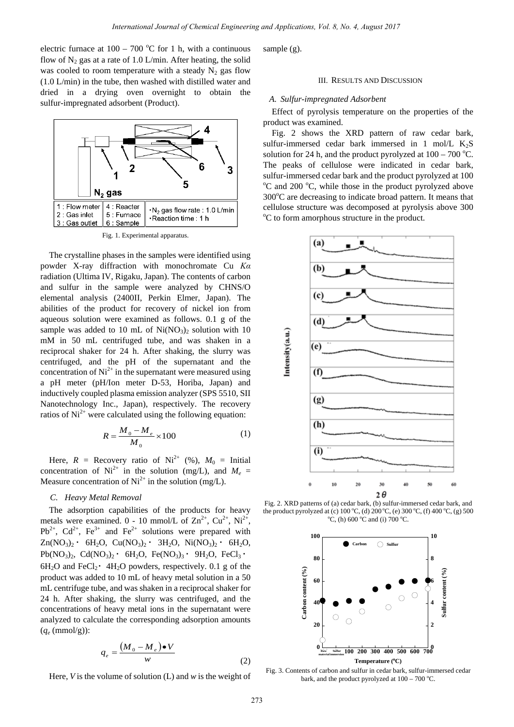electric furnace at  $100 - 700$  °C for 1 h, with a continuous flow of  $N_2$  gas at a rate of 1.0 L/min. After heating, the solid was cooled to room temperature with a steady  $N_2$  gas flow (1.0 L/min) in the tube, then washed with distilled water and dried in a drying oven overnight to obtain the sulfur-impregnated adsorbent (Product).



Fig. 1. Experimental apparatus.

The crystalline phases in the samples were identified using powder X-ray diffraction with monochromate Cu *Kα* radiation (Ultima IV, Rigaku, Japan). The contents of carbon and sulfur in the sample were analyzed by CHNS/O elemental analysis (2400II, Perkin Elmer, Japan). The abilities of the product for recovery of nickel ion from aqueous solution were examined as follows. 0.1 g of the sample was added to 10 mL of  $Ni(NO<sub>3</sub>)<sub>2</sub>$  solution with 10 mM in 50 mL centrifuged tube, and was shaken in a reciprocal shaker for 24 h. After shaking, the slurry was centrifuged, and the pH of the supernatant and the concentration of  $Ni^{2+}$  in the supernatant were measured using a pH meter (pH/Ion meter D-53, Horiba, Japan) and inductively coupled plasma emission analyzer (SPS 5510, SII Nanotechnology Inc., Japan), respectively. The recovery ratios of  $Ni<sup>2+</sup>$  were calculated using the following equation:

$$
R = \frac{M_0 - M_e}{M_0} \times 100
$$
 (1)

Here,  $R =$  Recovery ratio of Ni<sup>2+</sup> (%),  $M_0 =$  Initial concentration of  $Ni^{2+}$  in the solution (mg/L), and  $M_e =$ Measure concentration of  $Ni^{2+}$  in the solution (mg/L).

# *C. Heavy Metal Removal*

The adsorption capabilities of the products for heavy metals were examined.  $0 - 10$  mmol/L of  $\text{Zn}^{2+}$ ,  $\text{Cu}^{2+}$ ,  $\text{Ni}^{2+}$ ,  $Pb^{2+}$ ,  $Cd^{2+}$ ,  $Fe^{3+}$  and  $Fe^{2+}$  solutions were prepared with  $Zn(NO<sub>3</sub>)<sub>2</sub>$  • 6H<sub>2</sub>O, Cu(NO<sub>3</sub>)<sub>2</sub> • 3H<sub>2</sub>O, Ni(NO<sub>3</sub>)<sub>2</sub> • 6H<sub>2</sub>O,  $Pb(NO<sub>3</sub>)<sub>2</sub>$ , Cd(NO<sub>3</sub>)<sub>2</sub> · 6H<sub>2</sub>O, Fe(NO<sub>3</sub>)<sub>3</sub> · 9H<sub>2</sub>O, FeCl<sub>3</sub> ·  $6H_2O$  and FeCl<sub>2</sub>  $\cdot$  4H<sub>2</sub>O powders, respectively. 0.1 g of the product was added to 10 mL of heavy metal solution in a 50 mL centrifuge tube, and was shaken in a reciprocal shaker for 24 h. After shaking, the slurry was centrifuged, and the concentrations of heavy metal ions in the supernatant were analyzed to calculate the corresponding adsorption amounts  $(q_e \text{ (mmol/g)})$ :

$$
q_e = \frac{(M_0 - M_e) \bullet V}{w} \tag{2}
$$

Here, *V* is the volume of solution (L) and *w* is the weight of

sample (g).

### III. RESULTS AND DISCUSSION

#### *A. Sulfur-impregnated Adsorbent*

Effect of pyrolysis temperature on the properties of the product was examined.

Fig. 2 shows the XRD pattern of raw cedar bark, sulfur-immersed cedar bark immersed in 1 mol/L  $K_2S$ solution for 24 h, and the product pyrolyzed at  $100 - 700$  °C. The peaks of cellulose were indicated in cedar bark, sulfur-immersed cedar bark and the product pyrolyzed at 100 C and 200 °C, while those in the product pyrolyzed above 300°C are decreasing to indicate broad pattern. It means that cellulose structure was decomposed at pyrolysis above 300 <sup>o</sup>C to form amorphous structure in the product.



Fig. 2. XRD patterns of (a) cedar bark, (b) sulfur-immersed cedar bark, and the product pyrolyzed at (c)  $100\degree C$ , (d)  $200\degree C$ , (e)  $300\degree C$ , (f)  $400\degree C$ , (g)  $500\degree C$  ond (i)  $700\degree C$  $\mathcal{C}$ , (h) 600 °C and (i) 700 °C.



 Fig. 3. Contents of carbon and sulfur in cedar bark, sulfur-immersed cedar bark, and the product pyrolyzed at  $100 - 700$  °C.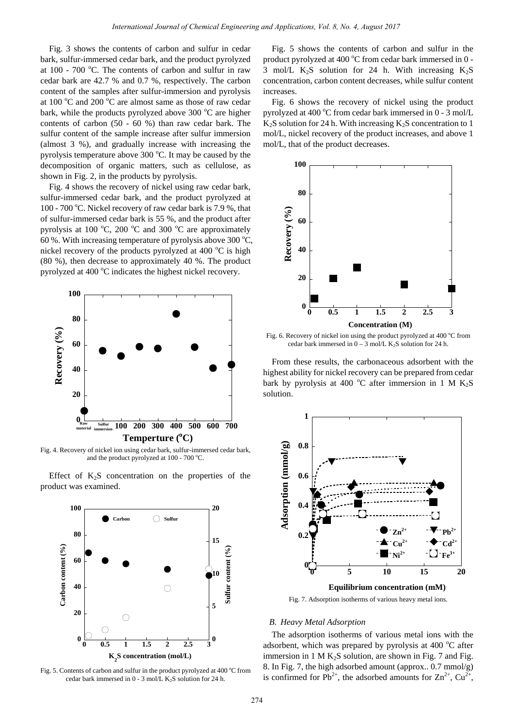Fig. 3 shows the contents of carbon and sulfur in cedar bark, sulfur-immersed cedar bark, and the product pyrolyzed at  $100$  -  $700$  °C. The contents of carbon and sulfur in raw cedar bark are 42.7 % and 0.7 %, respectively. The carbon content of the samples after sulfur-immersion and pyrolysis at 100 $\,^{\circ}$ C and 200 $\,^{\circ}$ C are almost same as those of raw cedar bark, while the products pyrolyzed above 300 °C are higher contents of carbon (50 - 60 %) than raw cedar bark. The sulfur content of the sample increase after sulfur immersion (almost 3 %), and gradually increase with increasing the pyrolysis temperature above 300 °C. It may be caused by the decomposition of organic matters, such as cellulose, as shown in Fig. 2, in the products by pyrolysis.

Fig. 4 shows the recovery of nickel using raw cedar bark, sulfur-immersed cedar bark, and the product pyrolyzed at 100 - 700 °C. Nickel recovery of raw cedar bark is 7.9 %, that of sulfur-immersed cedar bark is 55 %, and the product after pyrolysis at 100  $^{\circ}$ C, 200  $^{\circ}$ C and 300  $^{\circ}$ C are approximately 60 %. With increasing temperature of pyrolysis above 300  $^{\circ}$ C, nickel recovery of the products pyrolyzed at 400 °C is high (80 %), then decrease to approximately 40 %. The product pyrolyzed at 400 °C indicates the highest nickel recovery.



Fig. 4. Recovery of nickel ion using cedar bark, sulfur-immersed cedar bark, and the product pyrolyzed at 100 - 700 °C.

Effect of  $K_2S$  concentration on the properties of the product was examined.





Fig. 5 shows the contents of carbon and sulfur in the product pyrolyzed at 400 $\degree$ C from cedar bark immersed in 0 -3 mol/L  $K_2S$  solution for 24 h. With increasing  $K_2S$ concentration, carbon content decreases, while sulfur content increases.

Fig. 6 shows the recovery of nickel using the product pyrolyzed at 400 $\degree$ C from cedar bark immersed in 0 - 3 mol/L  $K_2S$  solution for 24 h. With increasing  $K_2S$  concentration to 1 mol/L, nickel recovery of the product increases, and above 1 mol/L, that of the product decreases.



Fig. 6. Recovery of nickel ion using the product pyrolyzed at 400 °C from cedar bark immersed in  $0 - 3$  mol/L K<sub>2</sub>S solution for 24 h.

From these results, the carbonaceous adsorbent with the highest ability for nickel recovery can be prepared from cedar bark by pyrolysis at 400 °C after immersion in 1 M  $K_2S$ solution.



Fig. 7. Adsorption isotherms of various heavy metal ions.

#### *B. Heavy Metal Adsorption*

The adsorption isotherms of various metal ions with the adsorbent, which was prepared by pyrolysis at 400 °C after immersion in 1 M  $K_2S$  solution, are shown in Fig. 7 and Fig. 8. In Fig. 7, the high adsorbed amount (approx.. 0.7 mmol/g) is confirmed for  $Pb^{2+}$ , the adsorbed amounts for  $Zn^{2+}$ ,  $Cu^{2+}$ ,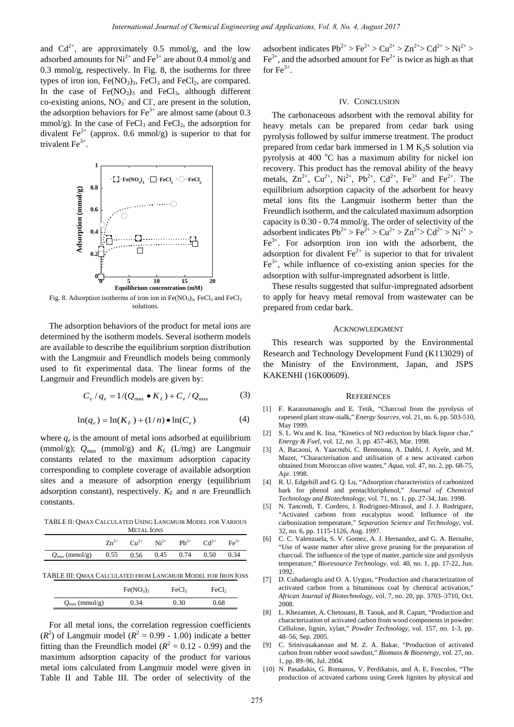and  $Cd^{2+}$ , are approximately 0.5 mmol/g, and the low adsorbed amounts for  $Ni^{2+}$  and  $Fe^{3+}$  are about 0.4 mmol/g and 0.3 mmol/g, respectively. In Fig. 8, the isotherms for three types of iron ion,  $Fe(NO<sub>3</sub>)<sub>3</sub>$ ,  $FeCl<sub>3</sub>$  and  $FeCl<sub>2</sub>$ , are compared. In the case of  $Fe(NO_3)$ <sub>3</sub> and  $FeCl_3$ , although different co-existing anions,  $NO_3^-$  and Cl<sup>-</sup>, are present in the solution, the adsorption behaviors for  $Fe^{3+}$  are almost same (about 0.3) mmol/g). In the case of  $FeCl<sub>3</sub>$  and  $FeCl<sub>2</sub>$ , the adsorption for divalent Fe<sup>2+</sup> (approx. 0.6 mmol/g) is superior to that for trivalent  $Fe<sup>3+</sup>$ .



Fig. 8. Adsorption isotherms of iron ion in  $Fe(NO<sub>3</sub>)<sub>3</sub>$ ,  $FeCl<sub>3</sub>$  and  $FeCl<sub>2</sub>$ solutions.

The adsorption behaviors of the product for metal ions are determined by the isotherm models. Several isotherm models are available to describe the equilibrium sorption distribution with the Langmuir and Freundlich models being commonly used to fit experimental data. The linear forms of the Langmuir and Freundlich models are given by:

$$
C_e / q_e = 1 / (Q_{\text{max}} \bullet K_L) + C_e / Q_{\text{max}} \tag{3}
$$

$$
\ln(q_e) = \ln(K_F) + (1/n) \bullet \ln(C_e) \tag{4}
$$

where  $q_e$  is the amount of metal ions adsorbed at equilibrium (mmol/g);  $Q_{max}$  (mmol/g) and  $K_L$  (L/mg) are Langmuir constants related to the maximum adsorption capacity corresponding to complete coverage of available adsorption sites and a measure of adsorption energy (equilibrium adsorption constant), respectively.  $K_F$  and *n* are Freundlich constants.

TABLE II: QMAX CALCULATED USING LANGMUIR MODEL FOR VARIOUS METAL IONS

|                                                              |  | $Zn^{2+}$ $Cu^{2+}$ $Ni^{2+}$ $Pb^{2+}$ $Cd^{2+}$ $Fe^{3+}$ |  |
|--------------------------------------------------------------|--|-------------------------------------------------------------|--|
| $Q_{max}$ (mmol/g) $0.55$ $0.56$ $0.45$ $0.74$ $0.50$ $0.34$ |  |                                                             |  |

TABLE III: QMAX CALCULATED FROM LANGMUIR MODEL FOR IRON IONS

|                    | Fe(NO <sub>3</sub> ) <sub>3</sub> | FeCl3 | FeCl <sub>2</sub> |
|--------------------|-----------------------------------|-------|-------------------|
| $Q_{max}$ (mmol/g) | 0.34                              | 0.30  | 0.68              |

For all metal ions, the correlation regression coefficients  $(R<sup>2</sup>)$  of Langmuir model ( $R<sup>2</sup> = 0.99 - 1.00$ ) indicate a better fitting than the Freundlich model ( $R^2 = 0.12 - 0.99$ ) and the maximum adsorption capacity of the product for various metal ions calculated from Langmuir model were given in Table II and Table III. The order of selectivity of the

adsorbent indicates  $Pb^{2+} > Fe^{2+} > Cu^{2+} > Zn^{2+} > Cd^{2+} > Ni^{2+} >$  $Fe<sup>3+</sup>$ , and the adsorbed amount for  $Fe<sup>2+</sup>$  is twice as high as that for  $Fe^{3+}$ .

### IV. CONCLUSION

The carbonaceous adsorbent with the removal ability for heavy metals can be prepared from cedar bark using pyrolysis followed by sulfur immerse treatment. The product prepared from cedar bark immersed in  $1 M K<sub>2</sub>S$  solution via pyrolysis at 400 $\degree$ C has a maximum ability for nickel ion recovery. This product has the removal ability of the heavy metals,  $Zn^{2+}$ ,  $Cu^{2+}$ ,  $Ni^{2+}$ ,  $Pb^{2+}$ ,  $Cd^{2+}$ ,  $Fe^{3+}$  and  $Fe^{2+}$ . The equilibrium adsorption capacity of the adsorbent for heavy metal ions fits the Langmuir isotherm better than the Freundlich isotherm, and the calculated maximum adsorption capacity is 0.30 - 0.74 mmol/g. The order of selectivity of the adsorbent indicates  $Pb^{2+} > Fe^{2+} > Cu^{2+} > Zn^{2+} > Cd^{2+} > Ni^{2+} >$  $Fe<sup>3+</sup>$ . For adsorption iron ion with the adsorbent, the adsorption for divalent  $\text{Fe}^{2+}$  is superior to that for trivalent  $Fe<sup>3+</sup>$ , while influence of co-existing anion species for the adsorption with sulfur-impregnated adsorbent is little. *International Journal of Chemical Andrea Contained Schemes in the state of Chemical Schemes in the Schemes Chemical Action Chemical Chemical Chemical Chemical Chemical Chemical Chemical Chemical Chemical Chemical Chemica* 

These results suggested that sulfur-impregnated adsorbent to apply for heavy metal removal from wastewater can be prepared from cedar bark.

#### ACKNOWLEDGMENT

This research was supported by the Environmental Research and Technology Development Fund (K113029) of the Ministry of the Environment, Japan, and JSPS KAKENHI (16K00609).

#### **REFERENCES**

- [1] F. Karaosmanoglu and E. Tetik, "Charcoal from the pyrolysis of rapeseed plant straw-stalk," *Energy Sources*, vol. 21, no. 6, pp. 503-510, May 1999.
- [2] S. L. Wu and K. Iisa, "Kinetics of NO reduction by black liquor char," *Energy & Fuel*, vol. 12, no. 3, pp. 457-463, Mar. 1998.
- [3] A. Bacaoui, A. Yaacoubi, C. Bennouna, A. Dahbi, J. Ayele, and M. Mazet, "Characterisation and utilisation of a new activated carbon obtained from Moroccan olive wastes," *Aqua*, vol. 47, no. 2, pp. 68-75, Apr. 1998.
- [4] R. U. Edgehill and G. Q. Lu, "Adsorption characteristics of carbonized bark for phenol and pentachloriphenol," *Journal of Chemical Technology and Biotechnology*, vol. 71, no. 1, pp. 27-34, Jan. 1998.
- [5] N. Tancredi, T. Cordero, J. Rodriguez-Mirasol, and J. J. Rodriguez, "Activated carbons from eucalyptus wood. Influence of the carbonization temperature," *Separation Science and Technology*, vol. 32, no. 6, pp. 1115-1126, Aug. 1997.
- [6] C. C. Valenzuela, S. V. Gomez, A. J. Hernandez, and G. A. Bernalte, "Use of waste matter after olive grove pruning for the preparation of charcoal. The influence of the type of matter, particle size and pyrolysis temperature," *Bioresource Technology*, vol. 40, no. 1, pp. 17-22, Jun. 1992.
- [7] D. Cuhadaroglu and O. A. Uygun, "Production and characterization of activated carbon from a bituminous coal by chemical activation," *African Journal of Biotechnology,* vol. 7, no. 20, pp. 3703–3710, Oct. 2008.
- [8] L. Khezamiet, A. Chetouani, B. Taouk, and R. Capart, "Production and characterization of activated carbon from wood components in powder: Cellulose, lignin, xylan," *Powder Technology,* vol. 157, no. 1-3, pp. 48–56, Sep. 2005.
- [9] C. Srinivasakannan and M. Z. A. Bakar, "Production of activated carbon from rubber wood sawdust," *Biomass & Bioenergy,* vol. 27, no. 1, pp. 89–96, Jul. 2004.
- [10] N. Pasadakis, G. Romanos, V. Perdikatsis, and A. E. Foscolos, "The production of activated carbons using Greek lignites by physical and